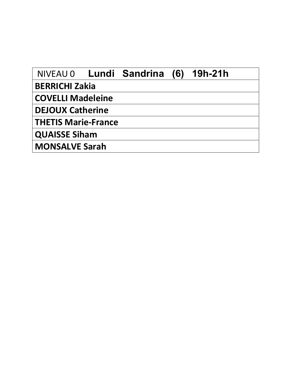| NIVEAU 0 Lundi Sandrina (6) |  | 19h-21h |
|-----------------------------|--|---------|
| <b>BERRICHI Zakia</b>       |  |         |
| <b>COVELLI Madeleine</b>    |  |         |
| <b>DEJOUX Catherine</b>     |  |         |
| <b>THETIS Marie-France</b>  |  |         |
| <b>QUAISSE Siham</b>        |  |         |
| <b>MONSALVE Sarah</b>       |  |         |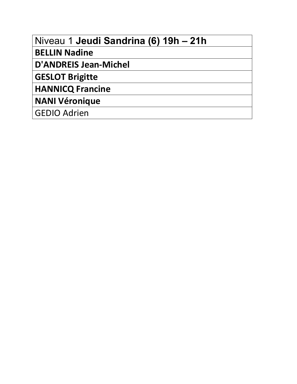| Niveau 1 Jeudi Sandrina (6) 19h - 21h |  |  |  |
|---------------------------------------|--|--|--|
|---------------------------------------|--|--|--|

**BELLIN Nadine**

**D'ANDREIS Jean-Michel**

**GESLOT Brigitte**

**HANNICQ Francine**

**NANI Véronique**

GEDIO Adrien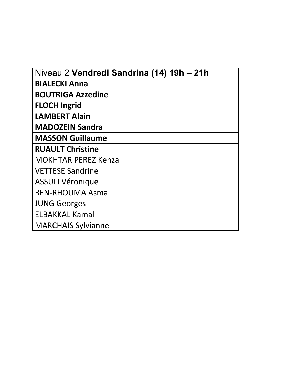| Niveau 2 Vendredi Sandrina (14) 19h - 21h |
|-------------------------------------------|
| <b>BIALECKI Anna</b>                      |
| <b>BOUTRIGA Azzedine</b>                  |
| <b>FLOCH Ingrid</b>                       |
| <b>LAMBERT Alain</b>                      |
| <b>MADOZEIN Sandra</b>                    |
| <b>MASSON Guillaume</b>                   |
| <b>RUAULT Christine</b>                   |
| <b>MOKHTAR PEREZ Kenza</b>                |
| <b>VETTESE Sandrine</b>                   |
| <b>ASSULI Véronique</b>                   |
| <b>BEN-RHOUMA Asma</b>                    |
| <b>JUNG Georges</b>                       |
| <b>ELBAKKAL Kamal</b>                     |
| <b>MARCHAIS Sylvianne</b>                 |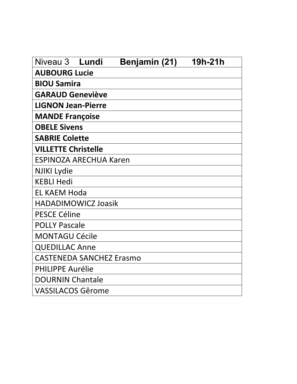| Niveau 3                        | Lundi | Benjamin (21) | 19h-21h |
|---------------------------------|-------|---------------|---------|
| <b>AUBOURG Lucie</b>            |       |               |         |
| <b>BIOU Samira</b>              |       |               |         |
| <b>GARAUD Geneviève</b>         |       |               |         |
| <b>LIGNON Jean-Pierre</b>       |       |               |         |
| <b>MANDE Françoise</b>          |       |               |         |
| <b>OBELE Sivens</b>             |       |               |         |
| <b>SABRIE Colette</b>           |       |               |         |
| <b>VILLETTE Christelle</b>      |       |               |         |
| <b>ESPINOZA ARECHUA Karen</b>   |       |               |         |
| <b>NJIKI Lydie</b>              |       |               |         |
| <b>KEBLI Hedi</b>               |       |               |         |
| <b>EL KAEM Hoda</b>             |       |               |         |
| <b>HADADIMOWICZ Joasik</b>      |       |               |         |
| <b>PESCE Céline</b>             |       |               |         |
| <b>POLLY Pascale</b>            |       |               |         |
| <b>MONTAGU Cécile</b>           |       |               |         |
| <b>QUEDILLAC Anne</b>           |       |               |         |
| <b>CASTENEDA SANCHEZ Erasmo</b> |       |               |         |
| <b>PHILIPPE Aurélie</b>         |       |               |         |
| <b>DOURNIN Chantale</b>         |       |               |         |
| <b>VASSILACOS Gêrome</b>        |       |               |         |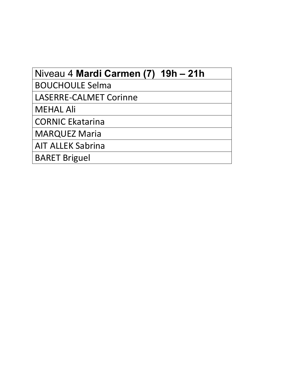| Niveau 4 Mardi Carmen (7) 19h – 21h |
|-------------------------------------|
| <b>BOUCHOULE Selma</b>              |
| <b>LASERRE-CALMET Corinne</b>       |
| <b>MEHAL Ali</b>                    |
| <b>CORNIC Ekatarina</b>             |
| <b>MARQUEZ Maria</b>                |
| <b>AIT ALLEK Sabrina</b>            |
| <b>BARET Briguel</b>                |
|                                     |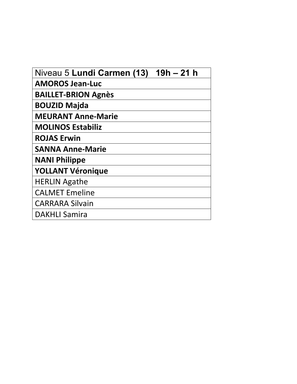| Niveau 5 Lundi Carmen (13) | $19h - 21h$ |
|----------------------------|-------------|
| <b>AMOROS Jean-Luc</b>     |             |
| <b>BAILLET-BRION Agnès</b> |             |
| <b>BOUZID Majda</b>        |             |
| <b>MEURANT Anne-Marie</b>  |             |
| <b>MOLINOS Estabiliz</b>   |             |
| <b>ROJAS Erwin</b>         |             |
| <b>SANNA Anne-Marie</b>    |             |
| <b>NANI Philippe</b>       |             |
| <b>YOLLANT Véronique</b>   |             |
| <b>HERLIN Agathe</b>       |             |
| <b>CALMET Emeline</b>      |             |
| <b>CARRARA Silvain</b>     |             |
| <b>DAKHLI Samira</b>       |             |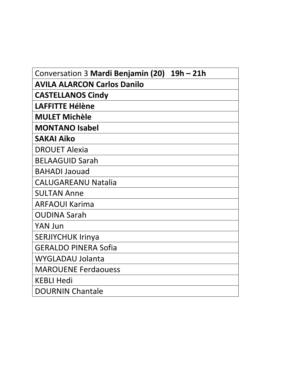| Conversation 3 Mardi Benjamin (20) 19h - 21h |
|----------------------------------------------|
| <b>AVILA ALARCON Carlos Danilo</b>           |
| <b>CASTELLANOS Cindy</b>                     |
| <b>LAFFITTE Hélène</b>                       |
| <b>MULET Michèle</b>                         |
| <b>MONTANO Isabel</b>                        |
| <b>SAKAI Aiko</b>                            |
| <b>DROUET Alexia</b>                         |
| <b>BELAAGUID Sarah</b>                       |
| <b>BAHADI Jaouad</b>                         |
| <b>CALUGAREANU Natalia</b>                   |
| <b>SULTAN Anne</b>                           |
| <b>ARFAOUI Karima</b>                        |
| <b>OUDINA Sarah</b>                          |
| <b>YAN Jun</b>                               |
| <b>SERJIYCHUK Irinya</b>                     |
| <b>GERALDO PINERA Sofia</b>                  |
| <b>WYGLADAU Jolanta</b>                      |
| <b>MAROUENE Ferdaouess</b>                   |
| <b>KEBLI Hedi</b>                            |
| <b>DOURNIN Chantale</b>                      |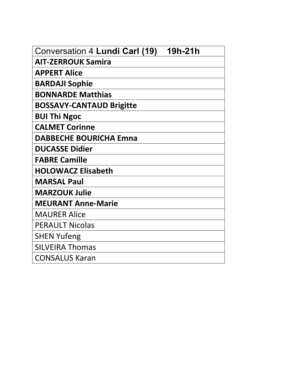| <b>Conversation 4 Lundi Carl (19)</b><br>19h-21h |
|--------------------------------------------------|
| <b>AIT-ZERROUK Samira</b>                        |
| <b>APPERT Alice</b>                              |
| <b>BARDAJI Sophie</b>                            |
| <b>BONNARDE Matthias</b>                         |
| <b>BOSSAVY-CANTAUD Brigitte</b>                  |
| <b>BUI Thi Ngoc</b>                              |
| <b>CALMET Corinne</b>                            |
| <b>DABBECHE BOURICHA Emna</b>                    |
| <b>DUCASSE Didier</b>                            |
| <b>FABRE Camille</b>                             |
| <b>HOLOWACZ Elisabeth</b>                        |
| <b>MARSAL Paul</b>                               |
| <b>MARZOUK Julie</b>                             |
| <b>MEURANT Anne-Marie</b>                        |
| <b>MAURER Alice</b>                              |
| <b>PERAULT Nicolas</b>                           |
| <b>SHEN Yufeng</b>                               |
| <b>SILVEIRA Thomas</b>                           |
| <b>CONSALUS Karan</b>                            |